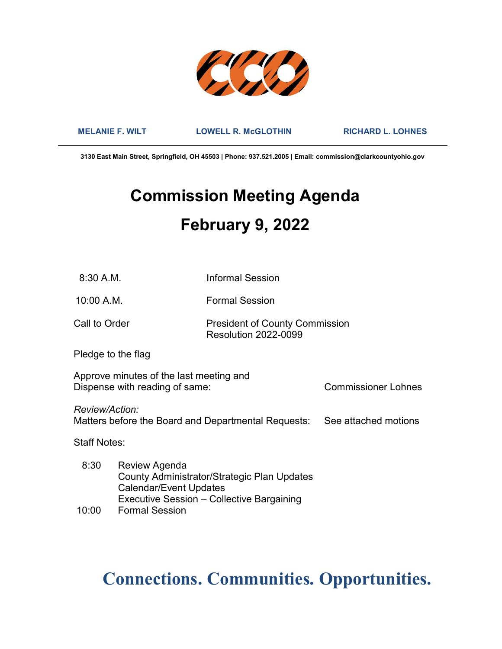

MELANIE F. WILT LOWELL R. McGLOTHIN RICHARD L. LOHNES

3130 East Main Street, Springfield, OH 45503 | Phone: 937.521.2005 | Email: commission@clarkcountyohio.gov

# Commission Meeting Agenda February 9, 2022

8:30 A.M. Informal Session

10:00 A.M. Formal Session

Call to Order **President of County Commission** Resolution 2022-0099

Pledge to the flag

Approve minutes of the last meeting and Dispense with reading of same: Commissioner Lohnes

Review/Action: Matters before the Board and Departmental Requests: See attached motions

Staff Notes:

| 8:30  | Review Agenda                               |
|-------|---------------------------------------------|
|       | County Administrator/Strategic Plan Updates |
|       | <b>Calendar/Event Updates</b>               |
|       | Executive Session - Collective Bargaining   |
| 10:00 | <b>Formal Session</b>                       |

# Connections. Communities. Opportunities.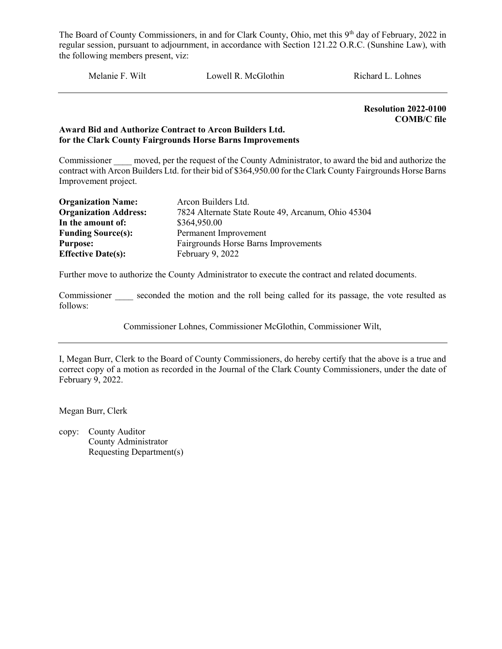Melanie F. Wilt Lowell R. McGlothin Richard L. Lohnes

Resolution 2022-0100 COMB/C file

#### Award Bid and Authorize Contract to Arcon Builders Ltd. for the Clark County Fairgrounds Horse Barns Improvements

Commissioner moved, per the request of the County Administrator, to award the bid and authorize the contract with Arcon Builders Ltd. for their bid of \$364,950.00 for the Clark County Fairgrounds Horse Barns Improvement project.

| <b>Organization Name:</b>    | Arcon Builders Ltd.                                |
|------------------------------|----------------------------------------------------|
| <b>Organization Address:</b> | 7824 Alternate State Route 49, Arcanum, Ohio 45304 |
| In the amount of:            | \$364,950.00                                       |
| <b>Funding Source(s):</b>    | Permanent Improvement                              |
| <b>Purpose:</b>              | Fairgrounds Horse Barns Improvements               |
| <b>Effective Date(s):</b>    | February 9, 2022                                   |

Further move to authorize the County Administrator to execute the contract and related documents.

Commissioner seconded the motion and the roll being called for its passage, the vote resulted as follows:

Commissioner Lohnes, Commissioner McGlothin, Commissioner Wilt,

I, Megan Burr, Clerk to the Board of County Commissioners, do hereby certify that the above is a true and correct copy of a motion as recorded in the Journal of the Clark County Commissioners, under the date of February 9, 2022.

Megan Burr, Clerk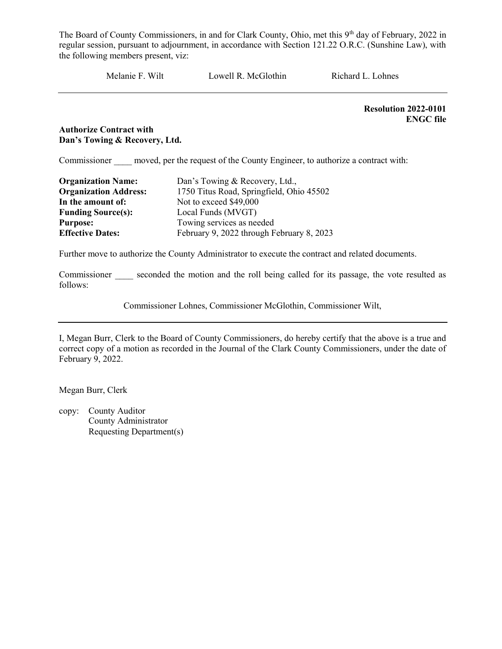Melanie F. Wilt Lowell R. McGlothin Richard L. Lohnes

Resolution 2022-0101 ENGC file

#### Authorize Contract with Dan's Towing & Recovery, Ltd.

Commissioner moved, per the request of the County Engineer, to authorize a contract with:

| <b>Organization Name:</b>    | Dan's Towing & Recovery, Ltd.,            |
|------------------------------|-------------------------------------------|
| <b>Organization Address:</b> | 1750 Titus Road, Springfield, Ohio 45502  |
| In the amount of:            | Not to exceed \$49,000                    |
| <b>Funding Source(s):</b>    | Local Funds (MVGT)                        |
| <b>Purpose:</b>              | Towing services as needed                 |
| <b>Effective Dates:</b>      | February 9, 2022 through February 8, 2023 |

Further move to authorize the County Administrator to execute the contract and related documents.

Commissioner seconded the motion and the roll being called for its passage, the vote resulted as follows:

Commissioner Lohnes, Commissioner McGlothin, Commissioner Wilt,

I, Megan Burr, Clerk to the Board of County Commissioners, do hereby certify that the above is a true and correct copy of a motion as recorded in the Journal of the Clark County Commissioners, under the date of February 9, 2022.

Megan Burr, Clerk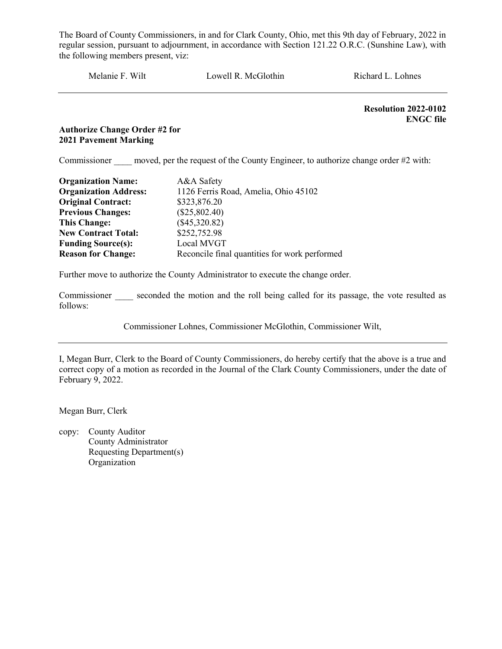Melanie F. Wilt Lowell R. McGlothin Richard L. Lohnes

 Resolution 2022-0102 ENGC file

## Authorize Change Order #2 for 2021 Pavement Marking

Commissioner moved, per the request of the County Engineer, to authorize change order #2 with:

| <b>Organization Name:</b>    | A&A Safety                                    |
|------------------------------|-----------------------------------------------|
| <b>Organization Address:</b> | 1126 Ferris Road, Amelia, Ohio 45102          |
| <b>Original Contract:</b>    | \$323,876.20                                  |
| <b>Previous Changes:</b>     | $(\$25,802.40)$                               |
| <b>This Change:</b>          | $(\$45,320.82)$                               |
| <b>New Contract Total:</b>   | \$252,752.98                                  |
| <b>Funding Source(s):</b>    | Local MVGT                                    |
| <b>Reason for Change:</b>    | Reconcile final quantities for work performed |

Further move to authorize the County Administrator to execute the change order.

Commissioner seconded the motion and the roll being called for its passage, the vote resulted as follows:

Commissioner Lohnes, Commissioner McGlothin, Commissioner Wilt,

I, Megan Burr, Clerk to the Board of County Commissioners, do hereby certify that the above is a true and correct copy of a motion as recorded in the Journal of the Clark County Commissioners, under the date of February 9, 2022.

Megan Burr, Clerk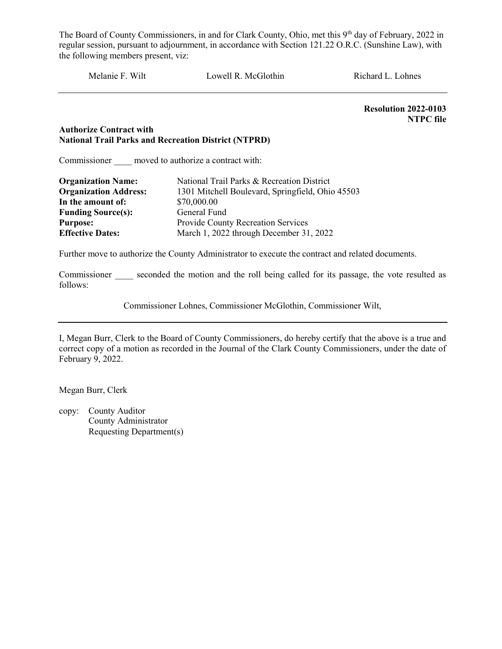Melanie F. Wilt Lowell R. McGlothin Richard L. Lohnes

Resolution 2022-0103 NTPC file

#### Authorize Contract with National Trail Parks and Recreation District (NTPRD)

Commissioner moved to authorize a contract with:

| <b>Organization Name:</b>    | National Trail Parks & Recreation District       |
|------------------------------|--------------------------------------------------|
| <b>Organization Address:</b> | 1301 Mitchell Boulevard, Springfield, Ohio 45503 |
| In the amount of:            | \$70,000.00                                      |
| <b>Funding Source(s):</b>    | General Fund                                     |
| <b>Purpose:</b>              | Provide County Recreation Services               |
| <b>Effective Dates:</b>      | March 1, 2022 through December 31, 2022          |

Further move to authorize the County Administrator to execute the contract and related documents.

Commissioner seconded the motion and the roll being called for its passage, the vote resulted as follows:

Commissioner Lohnes, Commissioner McGlothin, Commissioner Wilt,

I, Megan Burr, Clerk to the Board of County Commissioners, do hereby certify that the above is a true and correct copy of a motion as recorded in the Journal of the Clark County Commissioners, under the date of February 9, 2022.

Megan Burr, Clerk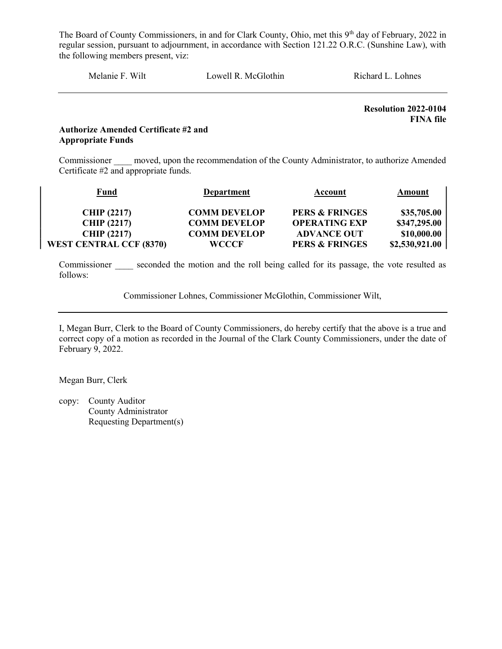Melanie F. Wilt Lowell R. McGlothin Richard L. Lohnes

Resolution 2022-0104 FINA file

### Authorize Amended Certificate #2 and Appropriate Funds

Commissioner moved, upon the recommendation of the County Administrator, to authorize Amended Certificate #2 and appropriate funds.

| Fund                           | <b>Department</b>   | Account                   | Amount         |
|--------------------------------|---------------------|---------------------------|----------------|
|                                |                     |                           |                |
| <b>CHIP (2217)</b>             | <b>COMM DEVELOP</b> | <b>PERS &amp; FRINGES</b> | \$35,705.00    |
| <b>CHIP (2217)</b>             | <b>COMM DEVELOP</b> | <b>OPERATING EXP</b>      | \$347,295.00   |
| <b>CHIP (2217)</b>             | <b>COMM DEVELOP</b> | <b>ADVANCE OUT</b>        | \$10,000.00    |
| <b>WEST CENTRAL CCF (8370)</b> | WCCCF               | <b>PERS &amp; FRINGES</b> | \$2,530,921.00 |

Commissioner seconded the motion and the roll being called for its passage, the vote resulted as follows:

Commissioner Lohnes, Commissioner McGlothin, Commissioner Wilt,

I, Megan Burr, Clerk to the Board of County Commissioners, do hereby certify that the above is a true and correct copy of a motion as recorded in the Journal of the Clark County Commissioners, under the date of February 9, 2022.

Megan Burr, Clerk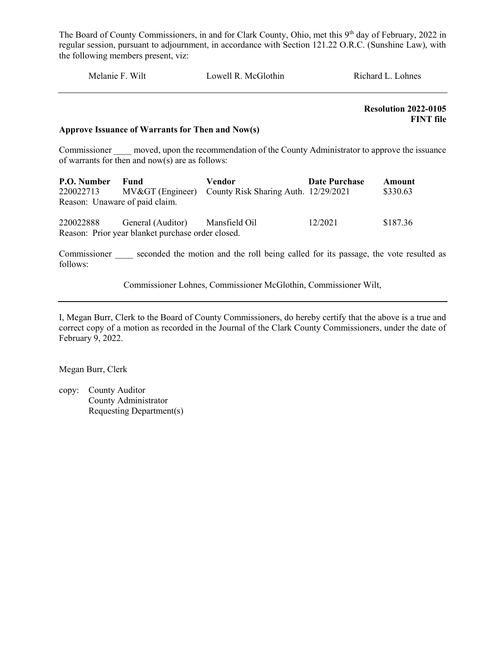| Melanie F. Wilt | Lowell R. McGlothin | Richard L. Lohnes |  |
|-----------------|---------------------|-------------------|--|
|                 |                     |                   |  |

 Resolution 2022-0105 FINT file

#### Approve Issuance of Warrants for Then and Now(s)

Commissioner moved, upon the recommendation of the County Administrator to approve the issuance of warrants for then and now(s) are as follows:

| P.O. Number<br>220022713<br>Reason: Unaware of paid claim. | Fund                                                                                 | Vendor<br>MV> (Engineer) County Risk Sharing Auth. 12/29/2021 | <b>Date Purchase</b> | Amount<br>\$330.63 |
|------------------------------------------------------------|--------------------------------------------------------------------------------------|---------------------------------------------------------------|----------------------|--------------------|
| 220022888                                                  | General (Auditor) Mansfield Oil<br>Reason: Prior year blanket purchase order closed. |                                                               | 12/2021              | \$187.36           |

Commissioner seconded the motion and the roll being called for its passage, the vote resulted as follows:

Commissioner Lohnes, Commissioner McGlothin, Commissioner Wilt,

I, Megan Burr, Clerk to the Board of County Commissioners, do hereby certify that the above is a true and correct copy of a motion as recorded in the Journal of the Clark County Commissioners, under the date of February 9, 2022.

Megan Burr, Clerk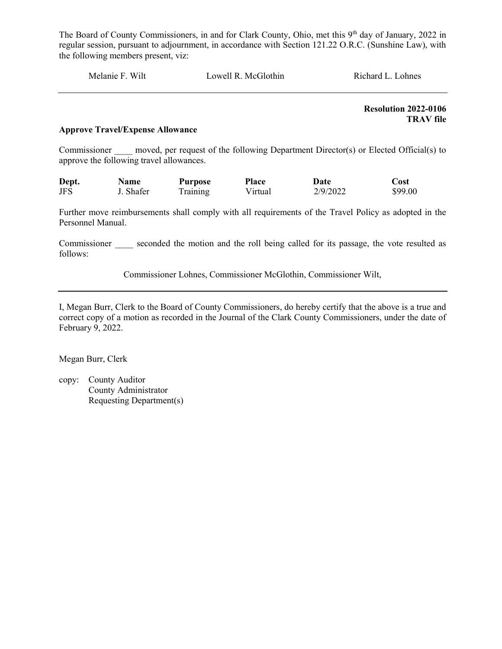| Melanie F. Wilt | Lowell R. McGlothin | Richard L. Lohnes |  |
|-----------------|---------------------|-------------------|--|
|                 |                     |                   |  |

 Resolution 2022-0106 TRAV file

#### Approve Travel/Expense Allowance

Commissioner moved, per request of the following Department Director(s) or Elected Official(s) to approve the following travel allowances.

| Dept. | <b>Name</b> | Purpose  | <b>Place</b> | Date     | Cost    |
|-------|-------------|----------|--------------|----------|---------|
| JFS   | J. Shafer   | Training | Virtual      | 2/9/2022 | \$99.00 |

Further move reimbursements shall comply with all requirements of the Travel Policy as adopted in the Personnel Manual.

Commissioner seconded the motion and the roll being called for its passage, the vote resulted as follows:

Commissioner Lohnes, Commissioner McGlothin, Commissioner Wilt,

I, Megan Burr, Clerk to the Board of County Commissioners, do hereby certify that the above is a true and correct copy of a motion as recorded in the Journal of the Clark County Commissioners, under the date of February 9, 2022.

Megan Burr, Clerk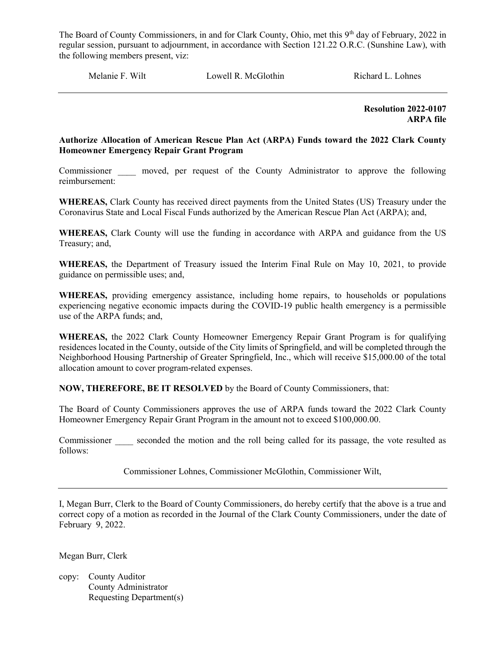Melanie F. Wilt **Lowell R. McGlothin** Richard L. Lohnes

 Resolution 2022-0107 ARPA file

### Authorize Allocation of American Rescue Plan Act (ARPA) Funds toward the 2022 Clark County Homeowner Emergency Repair Grant Program

Commissioner \_\_\_\_ moved, per request of the County Administrator to approve the following reimbursement:

WHEREAS, Clark County has received direct payments from the United States (US) Treasury under the Coronavirus State and Local Fiscal Funds authorized by the American Rescue Plan Act (ARPA); and,

WHEREAS, Clark County will use the funding in accordance with ARPA and guidance from the US Treasury; and,

WHEREAS, the Department of Treasury issued the Interim Final Rule on May 10, 2021, to provide guidance on permissible uses; and,

WHEREAS, providing emergency assistance, including home repairs, to households or populations experiencing negative economic impacts during the COVID-19 public health emergency is a permissible use of the ARPA funds; and,

WHEREAS, the 2022 Clark County Homeowner Emergency Repair Grant Program is for qualifying residences located in the County, outside of the City limits of Springfield, and will be completed through the Neighborhood Housing Partnership of Greater Springfield, Inc., which will receive \$15,000.00 of the total allocation amount to cover program-related expenses.

NOW, THEREFORE, BE IT RESOLVED by the Board of County Commissioners, that:

The Board of County Commissioners approves the use of ARPA funds toward the 2022 Clark County Homeowner Emergency Repair Grant Program in the amount not to exceed \$100,000.00.

Commissioner seconded the motion and the roll being called for its passage, the vote resulted as follows:

Commissioner Lohnes, Commissioner McGlothin, Commissioner Wilt,

I, Megan Burr, Clerk to the Board of County Commissioners, do hereby certify that the above is a true and correct copy of a motion as recorded in the Journal of the Clark County Commissioners, under the date of February 9, 2022.

Megan Burr, Clerk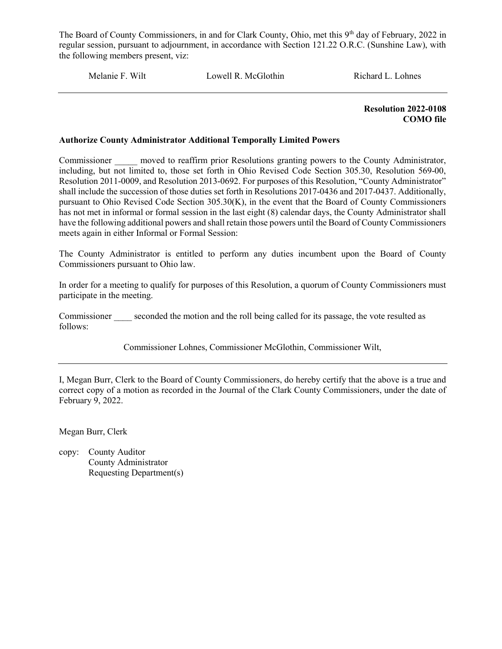Melanie F. Wilt Lowell R. McGlothin Richard L. Lohnes

 Resolution 2022-0108 COMO file

#### Authorize County Administrator Additional Temporally Limited Powers

Commissioner moved to reaffirm prior Resolutions granting powers to the County Administrator, including, but not limited to, those set forth in Ohio Revised Code Section 305.30, Resolution 569-00, Resolution 2011-0009, and Resolution 2013-0692. For purposes of this Resolution, "County Administrator" shall include the succession of those duties set forth in Resolutions 2017-0436 and 2017-0437. Additionally, pursuant to Ohio Revised Code Section 305.30(K), in the event that the Board of County Commissioners has not met in informal or formal session in the last eight (8) calendar days, the County Administrator shall have the following additional powers and shall retain those powers until the Board of County Commissioners meets again in either Informal or Formal Session:

The County Administrator is entitled to perform any duties incumbent upon the Board of County Commissioners pursuant to Ohio law.

In order for a meeting to qualify for purposes of this Resolution, a quorum of County Commissioners must participate in the meeting.

Commissioner seconded the motion and the roll being called for its passage, the vote resulted as follows:

Commissioner Lohnes, Commissioner McGlothin, Commissioner Wilt,

I, Megan Burr, Clerk to the Board of County Commissioners, do hereby certify that the above is a true and correct copy of a motion as recorded in the Journal of the Clark County Commissioners, under the date of February 9, 2022.

Megan Burr, Clerk